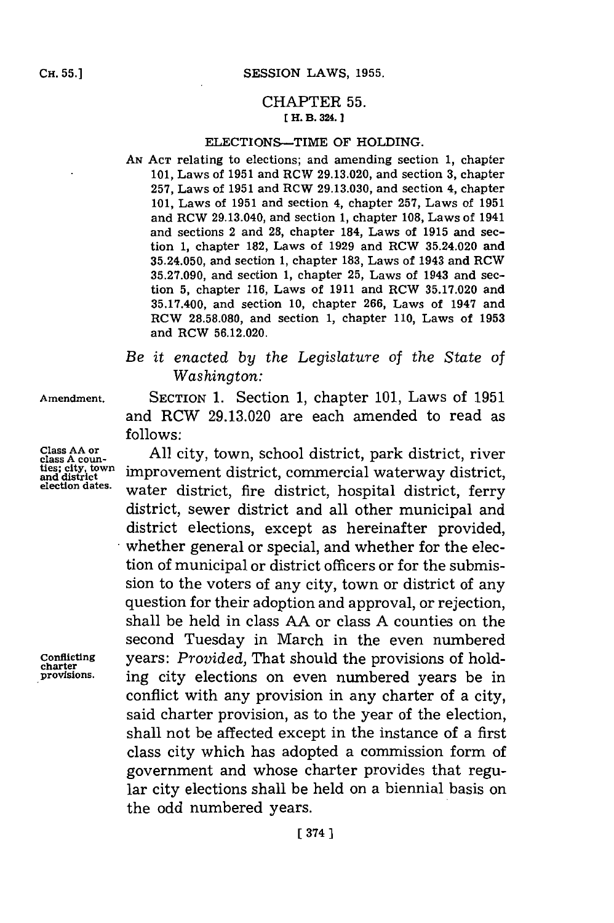**CH. 55.]**

### CHAPTER **55. 1 H. B. 324.]1**

#### ELECTIONS-TIME OF HOLDING.

**AN ACT** relating to elections; and amending section **1,** chapter **101,** Laws of **1951** and RCW **29.13.020,** and section **3,** chapter **257,** Laws of **1951** and ROW **29.13.030,** and section 4, chapter **101,** Laws of **1951** and section 4, chapter **257,** Laws of **1951** and RCW 29.13.040, and section **1,** chapter **108,** Laws of 1941 and sections 2 and **28,** chapter 184, Laws of **1915** and section **1,** chapter **182,** Laws of **1929** and ROW 35.24.020 and **35.24.050,** and section **1,** chapter **183,** Laws of 1943 and RCW **35.27.090,** and section **1,** chapter **25,** Laws of 1943 and section **5,** chapter **116,** Laws of **1911** and RCW **35.17.020** and **35.17.400,** and section **10,** chapter **266,** Laws of 1947 and ROW **28.58.080,** and section **1,** chapter **110,** Laws of **1953** and ROW **56.12.020.**

# *Be it enacted by the Legislature* **of** *the State of Washington:*

**Amendment. SECTION 1.** Section **1,** chapter **101,** Laws of **1951** and RCW **29.13.020** are each amended to read as **follows:**

**Class AA or Fig. 2.12 West Class AA or Class A coun-** All city, town, school district, park district, riv Class AA or class A countinuity, town, school district, park district, river ties; city, town improvement district, commercial waterway district, and district, election dates. water district, fire district, hospital district, ferry district, sewer district and all other municipal and district elections, except as hereinafter provided, whether general or special, and whether for the election of municipal or district officers or for the submission to the voters of any city, town or district of any question for their adoption and approval, or rejection, shall be held in class **AA** or class **A** counties on the second Tuesday in March in the even numbered Conflicting years: *Provided,* That should the provisions of holding city elections on even numbered years be in conflict with any provision in any charter of a city, said charter provision, as to the year of the election, shall not be affected except in the instance of a first class city which has adopted a commission form of government and whose charter provides that regular city elections shall be held on a biennial basis on the odd numbered years.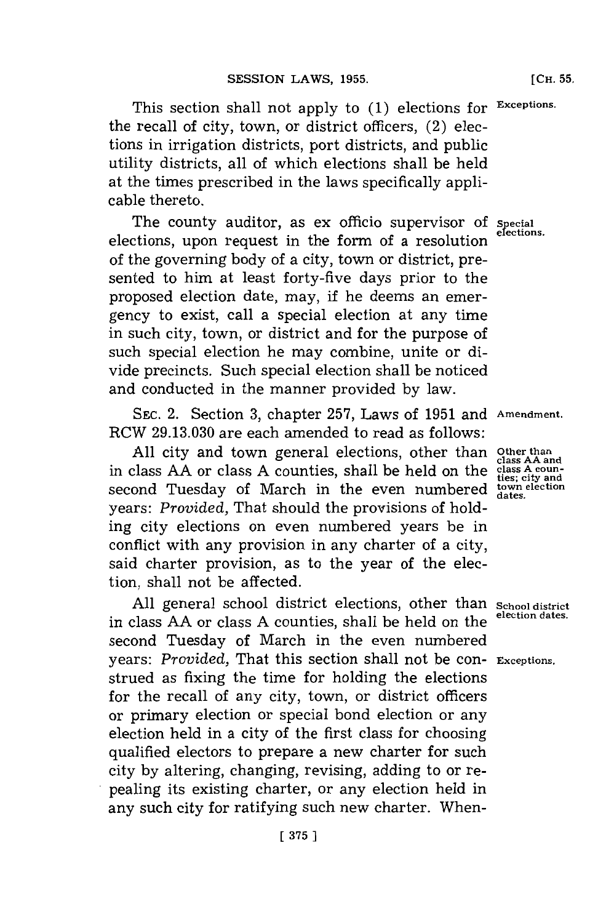This section shall not apply to **(1)** elections for **Excptions** the recall of city, town, or district officers, (2) elections in irrigation districts, port districts, and public utility districts, all of which elections shall be held at the times prescribed in the laws specifically applicable thereto.

The county auditor, as ex officio supervisor of special elections. elections, upon request in the form of a resolution of the governing body of a city, town or district, presented to him at least forty-five days prior to the proposed election date, may, if he deems an emergency to exist, call a special election at any time in such city, town, or district and for the purpose of such special election he may combine, unite or divide precincts. Such special election shall be noticed and conducted in the manner provided **by** law.

**SEC.** 2. Section **3,** chapter **257,** Laws of **1951** and **Amnendment.** RCW **29.13.030** are each amended to read as follows:

**All** city and town general elections, other than **Other than class AA and** in class **AA** or class **A** counties, shall be held on the **class A coun- ties; city and** second Tuesday of March in the even numbered  $\frac{\text{tess; city and}}{\text{datas}}$ years: *Provided,* That should the provisions of holding city elections on even numbered years be in conflict with any provision in any charter of a city, said charter provision, as to the year of the election, shall not be affected.

**All** general school district elections, other than **School district** in class AA or class A counties, shall be held on the second Tuesday of March in the even numbered years: *Provided,* That this section shall not be con- **Exceptions.** strued as fixing the time for holding the elections for the recall of any city, town, or district officers or primary election or special bond election or any election held in a city of the first class for choosing qualified electors to prepare a new charter for such city **by** altering, changing, revising, adding to or repealing its existing charter, or any election held in any such city for ratifying such new charter. When-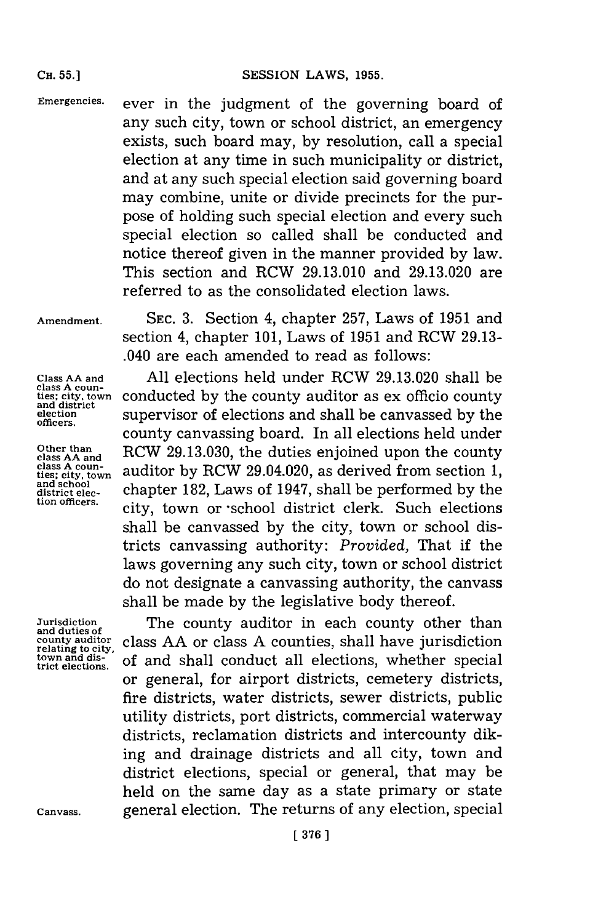**CH. 55.]**

**Emergencies.** ever in the judgment of the governing board of any such city, town or school district, an emergency exists, such board may, **by** resolution, call a special election at any time in such municipality or district, and at any such special election said governing board may combine, unite or divide precincts for the purpose of holding such special election and every such special election so called shall be conducted and notice thereof given in the manner provided **by** law. This section and RCW **29.13.010** and **29.13.020** are referred to as the consolidated election laws.

**Amendment,**

**SEC. 3.** Section 4, chapter **257,** Laws of **1951** and section 4, chapter **101,** Laws of **1951** and RCW **29.13-** .040 are each amended to read as follows:

**Class AA and class A coun- ties; city, town and district election officers.**

**Other than class AA and class A coun- ties; city, town and school district election officers.**

**Jurisdiction and duties of county auditor relating to city. town and district elections.**

**All** elections held under RCW **29.13.020** shall be conducted **by** the county auditor as ex officio county supervisor of elections and shall be canvassed **by** the county canvassing board. In all elections held under RCW **29.13.030,** the duties enjoined upon the county auditor **by** RCW 29.04.020, as derived from section **1,** chapter **182,** Laws of 1947, shall be performed **by** the city, town or -school district clerk. Such elections shall be canvassed **by** the city, town or school districts canvassing authority: *Provided,* That if the laws governing any such city, town or school district do not designate a canvassing authority, the canvass shall be made **by** the legislative body thereof.

The county auditor in each county other than class **AA** or class **A** counties, shall have jurisdiction of and shall conduct all elections, whether special or general, for airport districts, cemetery districts, fire districts, water districts, sewer districts, public utility districts, port districts, commercial waterway districts, reclamation districts and intercounty diking and drainage districts and all city, town and district elections, special or general, that may be held on the same day as a state primary or state general election. The returns of any election, special

**Canvass.**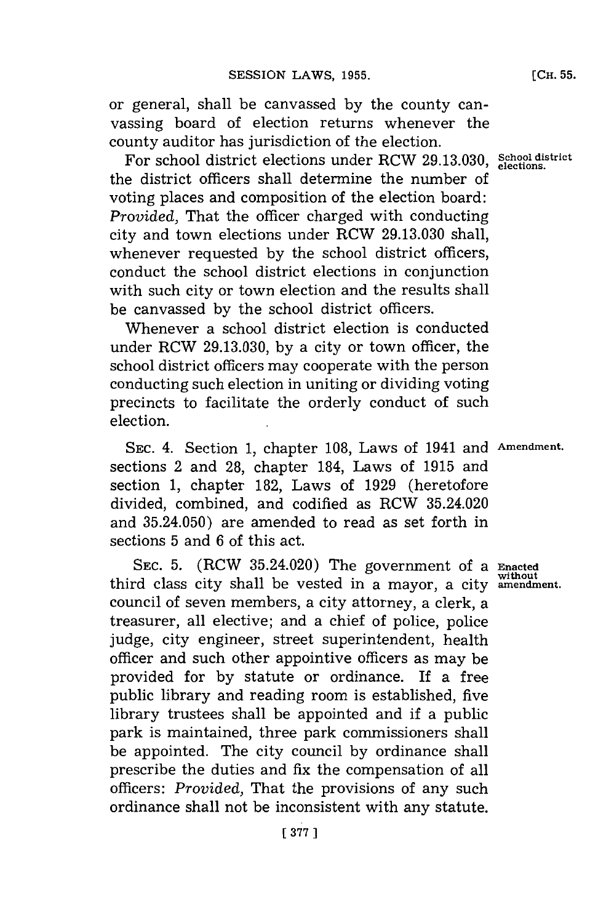**(CH. 55.**

or general, shall be canvassed **by** the county canvassing board of election returns whenever the county auditor has jurisdiction of the election.

For school district elections under RCW **29.13.030, School district elections.** the district officers shall determine the number of voting places and composition of the election board: *Provided,* That the officer charged with conducting city and town elections under RCW **29.13.030** shall, whenever requested **by** the school district officers, conduct the school district elections in conjunction with such city or town election and the results shall be canvassed **by** the school district officers.

Whenever a school district election is conducted under RCW **29.13.030, by** a city or town officer, the school district officers may cooperate with the person conducting such election in uniting or dividing voting precincts to facilitate the orderly conduct of such election.

SEC. 4. Section 1, chapter 108, Laws of 1941 and Amendment. sections 2 and **28,** chapter 184, Laws of **1915** and section **1,** chapter **182,** Laws of **1929** (heretofore divided, combined, and codified as RCW 35.24.020 and **35.24.050)** are amended to read as set forth in sections **5** and **6** of this act.

SEC. **5.** (RCW 35.24.020) The government of a **Enacted** third class city shall be vested in a mayor, a city amendment. council of seven members, a city attorney, a clerk, a treasurer, all elective; and a chief of police, police judge, city engineer, street superintendent, health officer and such other appointive officers as may be provided for **by** statute or ordinance. If a free public library and reading room is established, five library trustees shall be appointed and if a public park is maintained, three park commissioners shall be appointed. The city council **by** ordinance shall prescribe the duties and fix the compensation of all officers: *Provided,* That the provisions of any such ordinance shall not be inconsistent with any statute.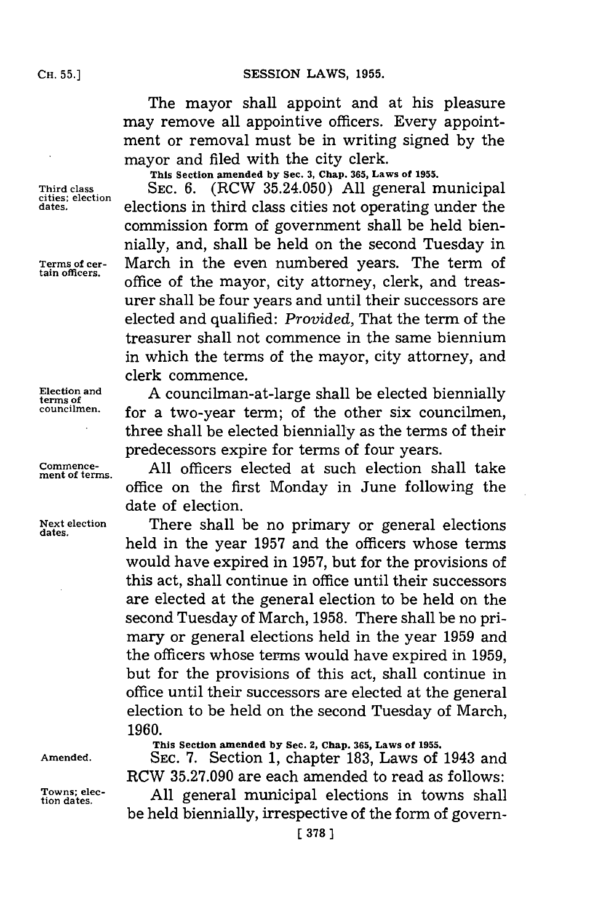The mayor shall appoint and at his pleasure may remove all appointive officers. Every appointment or removal must be in writing signed **by** the mayor and filed with the city clerk.

**This Section amended by Sec. 3, Chap. 365, Laws of 1955.**

**Third class SEC. 6.** (RCW **35.24.050) All** general municipal **cities; election dates.** elections in third class cities not operating under the commission form of government shall be held biennially, and, shall be held on the second Tuesday in **Terms of cer-** March in the even numbered years. The term of office of the mayor, city attorney, clerk, and treasurer shall be four years and until their successors are elected and qualified: *Provided,* That the term of the treasurer shall not commence in the same biennium in which the terms of the mayor, city attorney, and clerk commence.

Election and A councilman-at-large shall be elected biennially **terms** of the other six councilmon for a two-year term; of the other six councilmen, three shall be elected biennially as the terms of their predecessors expire for terms of four years.

**Commence- All** officers elected at such election shall take office on the first Monday in June following the date of election.

**Next election** There shall be no primary or general elections held in the year **1957** and the officers whose terms would have expired in **1957,** but for the provisions of this act, shall continue in office until their successors are elected at the general election to be held on the second Tuesday of March, **1958.** There shall be no primary or general elections held in the year **1959** and the officers whose terms would have expired in **1959,** but for the provisions of this act, shall continue in office until their successors are elected at the general election to be held on the second Tuesday of March, **1960.**

**ment of terms.**

**dates.**

**This Section amended by Sec. 2, Chap. 365, Laws of 1955.**

**Amended. SEC. 7.** Section **1,** chapter **183,** Laws of 1943 and RCW **35.27.090** are each amended to read as follows: Towns; elec-<br>tion dates. **All general municipal elections in towns shall** 

be held biennially, irrespective of the form of govern-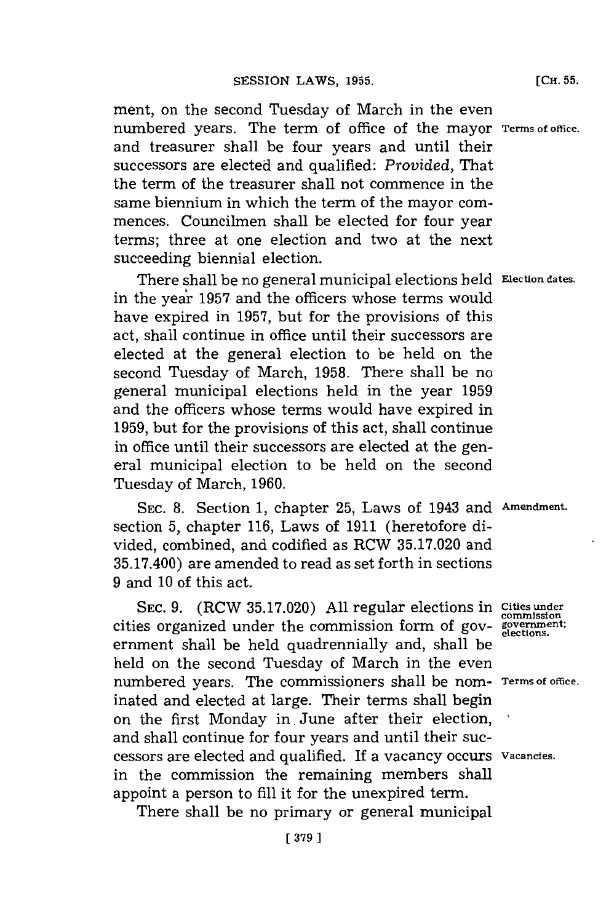ment, on the second Tuesday of March in the even numbered years. The term of office of the mayor **Terms of office.** and treasurer shall be four years and until their successors are elected and qualified: *Provided,* That the term of the treasurer shall not commence in the same biennium in which the term of the mayor commences. Councilmen shall be elected for four year terms; three at one election and two at the next succeeding biennial election.

There shall be no general municipal elections held **Election dates.** in the year **1957** and the officers whose terms would have expired in **1957,** but for the provisions of this act, shall continue in office until their successors are elected at the general election to be held on the second Tuesday of March, **1958.** There shall be no general municipal elections held in the year **1959** and the officers whose terms would have expired in **1959,** but for the provisions of this act, shall continue in office until their successors are elected at the general municipal election to be held on the second Tuesday of March, **1960.**

**SEC. 8.** Section **1,** chapter **25,** Laws of 1943 and **Amendment.** section **5,** chapter **116,** Laws of **1911** (heretofore divided, combined, and codified as RCW **35.17.020** and **35.17.400)** are amended to read as set forth in sections **9** and **10** of this act.

SEC. 9. (RCW 35.17.020) All regular elections in Cities under cities organized under the commission form of gov- **government;** ermnent shall be held quadrennially and, shall be held on the second Tuesday of March in the even numbered years. The commissioners shall be nom- **Terms of office.** inated and elected at large. Their terms shall begin on the first Monday in, June after their election, and shall continue for four years and until their successors are elected and qualified. If a vacancy occurs **Vacancies.** in the commission the remaining members shall appoint a person to **fill** it for the unexpired term.

There shall be no primary or general municipal

**[CH. 55.**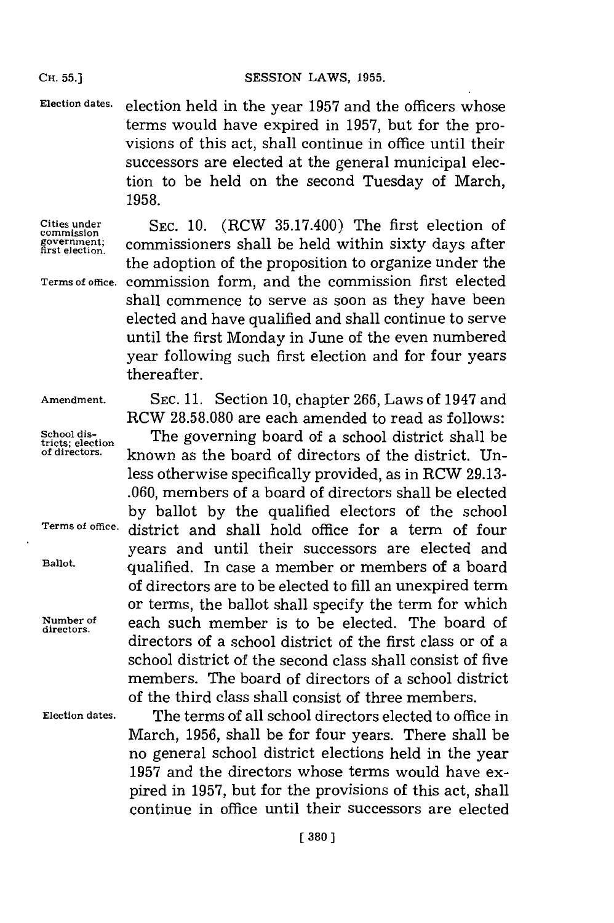#### **Cii.55.]SESSION** LAWS, **1955.**

**Election dates.** election held in the year **1957** and the officers whose terms would have expired in **1957,** but for the provisions of this act, shall continue in office until their successors are elected at the general municipal election to be held on the second Tuesday of March, **1958.**

**Cities under commission government; first election.**

**Terms of office.** commission form, and the commission first elected **SEC. 10.** (RCW **35.17.400)** The first election of commissioners shall be held within sixty days after the adoption of the proposition to organize under the shall commence to serve as soon as they have been elected and have qualified and shall continue to serve until the first Monday in June of the even numbered year following such first election and for four years thereafter.

**Amendment. SEC. 11.** Section **10,** chapter **266,** Laws of 1947 and RCW **28.58.080** are each amended to read as follows:

School dis-<br> **School districts**; election **The governing board of directors** of the district **II**n-<br>
of directors. **Examples Examples the heart of directors** of the district **II**n**of directors,** known as the board of directors of the district. Unless otherwise specifically provided, as in RCW **29.13- .060,** members of a board of directors shall be elected **by** ballot **by** the qualified electors of the school **Terms of office,** district and shall hold office for a term of four years and until their successors are elected and **Ballot.** qualified. In case a member or members of a board of directors are to be elected to **fill** an unexpired term or terms, the ballot shall specify the term for which Number of **each** such member is to be elected. The board of directors of a school district of the first class or of a school district of the second class shall consist of five members. The board of directors of a school district of the third class shall consist of three members.

**Election dates.** The terms of all school directors elected to office in March, **1956,** shall be for four years. There shall be no general school district elections held in the year **1957** and the directors whose terms would have expired in **1957,** but for the provisions of this act, shall continue in office until their successors are elected

#### **CH. 55.]**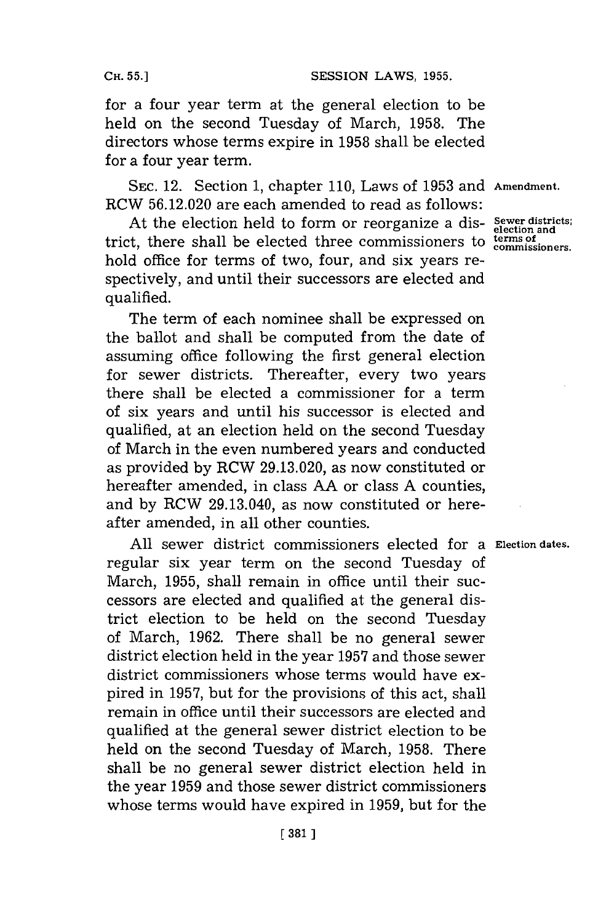**CH. 55.]**

for a four year term at the general election to be held on the second Tuesday of March, **1958.** The directors whose terms expire in **1958** shall be elected for a four year term.

**SEC.** 12. Section **1,** chapter **110,** Laws of **1953** and **Amendment.** RCW **56.12.020** are each amended to read as follows:

At the election held to form or reorganize a dis- **Sewer districts;** trict, there shall be elected three commissioners to terms of hold office for terms of two, four, and six years respectively, and until their successors are elected and qualified.

The term of each nominee shall be expressed on the ballot and shall be computed from the date of assuming office following the first general election for sewer districts. Thereafter, every two years there shall be elected a commissioner for a term of six years and until his successor is elected and qualified, at an election held on the second Tuesday of March in the even numbered years and conducted as provided **by** RCW **29.13.020,** as now constituted or hereafter amended, in class **AA** or class **A** counties, and **by** RCW 29.13.040, as now constituted or hereafter amended, in all other counties.

**All** sewer district commissioners elected for a **Election dates.** regular six year term on the second Tuesday of March, **1955,** shall remain in office until their successors are elected and qualified at the general district election to be held on the second Tuesday of March, **1962.** There shall be no general sewer district election held in the year **1957** and those sewer district commissioners whose terms would have expired in **1957,** but for the provisions of this act, shall remain in office until their successors are elected and qualified at the general sewer district election to be held on the second Tuesday of March, **1958.** There shall be no general sewer district election held in the year **1959** and those sewer district commissioners whose terms would have expired in **1959,** but for the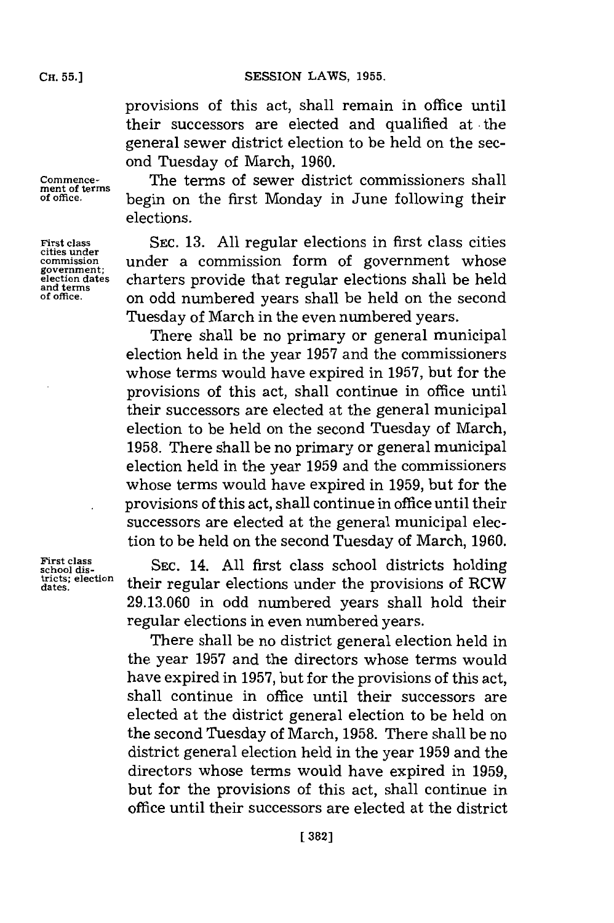provisions of this act, shall remain in office until their successors are elected and qualified at the general sewer district election to be held on the second Tuesday of March, **1960.**

**Commence-** The terms of sewer district commissioners shall **ment of terms of office,** begin on the first Monday in June following their elections.

> **SEC. 13. All** regular elections in first class cities under a commission form of government whose charters provide that regular elections shall be held on odd numbered years shall be held on the second Tuesday of March in the even numbered years.

> There shall be no primary or general municipal election held in the year **1957** and the commissioners whose terms would have expired in **1957,** but for the provisions of this act, shall continue in office until their successors are elected at the general municipal election to be held on the second Tuesday of March, **1958.** There shall be no primary or general municipal election held in the year **1959** and the commissioners whose terms would have expired in **1959,** but for the provisions of this act, shall continue in office until their successors are elected at the general municipal election to be held on the second Tuesday of March, **1960.**

> **SEC.** 14. **All** first class school districts holding their regular elections under the provisions of ROW **29.13.060** in odd numbered years shall hold their regular elections in even numbered years.

> There shall be no district general election held in the year **1957** and the directors whose terms would have expired in **1957,** but for the provisions of this act, shall continue in office until their successors are elected at the district general election to be held on the second Tuesday of March, **1958.** There shall be no district general election held in the year **1959** and the directors whose terms would have expired in **1959,** but for the provisions of this act, shall continue in office until their successors are elected at the district

**First class cities under commission government; election dates and terms of office.**

**First class school districts; election dates.**